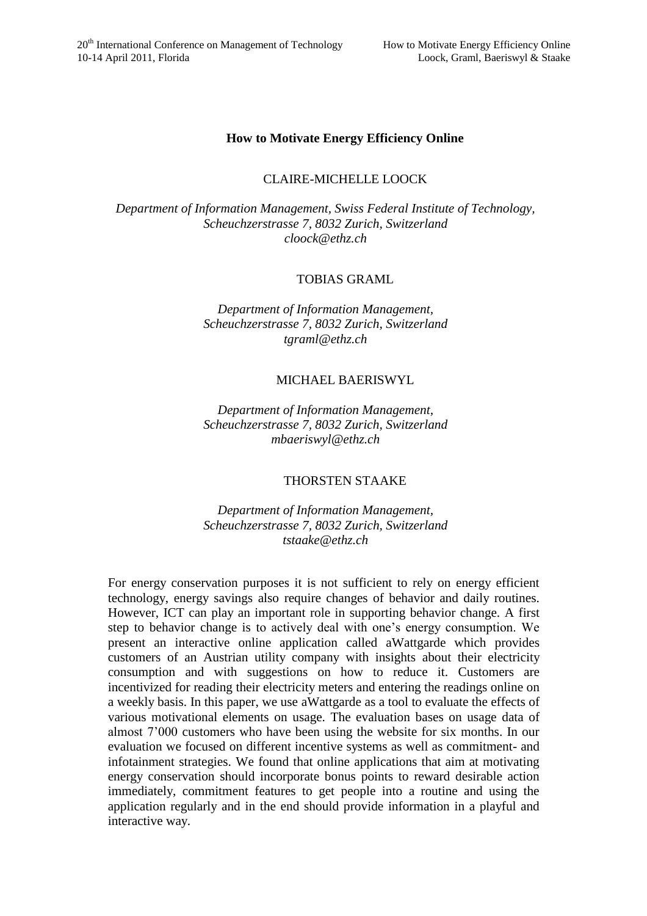## **How to Motivate Energy Efficiency Online**

# CLAIRE-MICHELLE LOOCK

*Department of Information Management, Swiss Federal Institute of Technology, Scheuchzerstrasse 7, 8032 Zurich, Switzerland cloock@ethz.ch*

## TOBIAS GRAML

*Department of Information Management, Scheuchzerstrasse 7, 8032 Zurich, Switzerland tgraml@ethz.ch*

### MICHAEL BAERISWYL

*Department of Information Management, Scheuchzerstrasse 7, 8032 Zurich, Switzerland mbaeriswyl@ethz.ch*

### THORSTEN STAAKE

*Department of Information Management, Scheuchzerstrasse 7, 8032 Zurich, Switzerland tstaake@ethz.ch*

For energy conservation purposes it is not sufficient to rely on energy efficient technology, energy savings also require changes of behavior and daily routines. However, ICT can play an important role in supporting behavior change. A first step to behavior change is to actively deal with one's energy consumption. We present an interactive online application called aWattgarde which provides customers of an Austrian utility company with insights about their electricity consumption and with suggestions on how to reduce it. Customers are incentivized for reading their electricity meters and entering the readings online on a weekly basis. In this paper, we use aWattgarde as a tool to evaluate the effects of various motivational elements on usage. The evaluation bases on usage data of almost 7'000 customers who have been using the website for six months. In our evaluation we focused on different incentive systems as well as commitment- and infotainment strategies. We found that online applications that aim at motivating energy conservation should incorporate bonus points to reward desirable action immediately, commitment features to get people into a routine and using the application regularly and in the end should provide information in a playful and interactive way.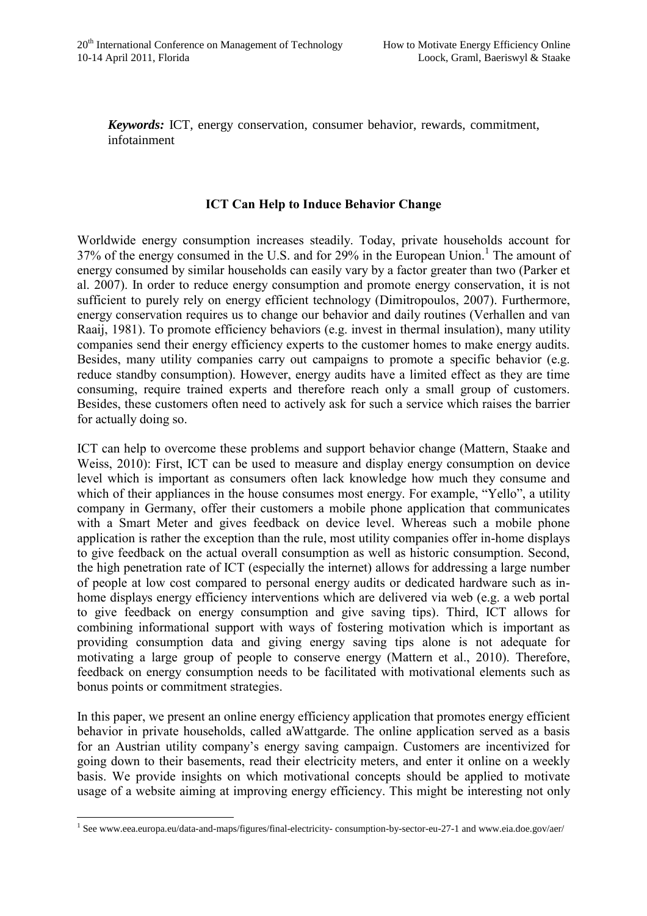*Keywords:* ICT, energy conservation, consumer behavior, rewards, commitment, infotainment

## **ICT Can Help to Induce Behavior Change**

Worldwide energy consumption increases steadily. Today, private households account for  $37\%$  of the energy consumed in the U.S. and for 29% in the European Union.<sup>1</sup> The amount of energy consumed by similar households can easily vary by a factor greater than two (Parker et al. 2007). In order to reduce energy consumption and promote energy conservation, it is not sufficient to purely rely on energy efficient technology (Dimitropoulos, 2007). Furthermore, energy conservation requires us to change our behavior and daily routines (Verhallen and van Raaij, 1981). To promote efficiency behaviors (e.g. invest in thermal insulation), many utility companies send their energy efficiency experts to the customer homes to make energy audits. Besides, many utility companies carry out campaigns to promote a specific behavior (e.g. reduce standby consumption). However, energy audits have a limited effect as they are time consuming, require trained experts and therefore reach only a small group of customers. Besides, these customers often need to actively ask for such a service which raises the barrier for actually doing so.

ICT can help to overcome these problems and support behavior change (Mattern, Staake and Weiss, 2010): First, ICT can be used to measure and display energy consumption on device level which is important as consumers often lack knowledge how much they consume and which of their appliances in the house consumes most energy. For example, "Yello", a utility company in Germany, offer their customers a mobile phone application that communicates with a Smart Meter and gives feedback on device level. Whereas such a mobile phone application is rather the exception than the rule, most utility companies offer in-home displays to give feedback on the actual overall consumption as well as historic consumption. Second, the high penetration rate of ICT (especially the internet) allows for addressing a large number of people at low cost compared to personal energy audits or dedicated hardware such as inhome displays energy efficiency interventions which are delivered via web (e.g. a web portal to give feedback on energy consumption and give saving tips). Third, ICT allows for combining informational support with ways of fostering motivation which is important as providing consumption data and giving energy saving tips alone is not adequate for motivating a large group of people to conserve energy (Mattern et al., 2010). Therefore, feedback on energy consumption needs to be facilitated with motivational elements such as bonus points or commitment strategies.

In this paper, we present an online energy efficiency application that promotes energy efficient behavior in private households, called aWattgarde. The online application served as a basis for an Austrian utility company's energy saving campaign. Customers are incentivized for going down to their basements, read their electricity meters, and enter it online on a weekly basis. We provide insights on which motivational concepts should be applied to motivate usage of a website aiming at improving energy efficiency. This might be interesting not only

 $\overline{a}$ <sup>1</sup> See www.eea.europa.eu/data-and-maps/figures/final-electricity-consumption-by-sector-eu-27-1 and www.eia.doe.gov/aer/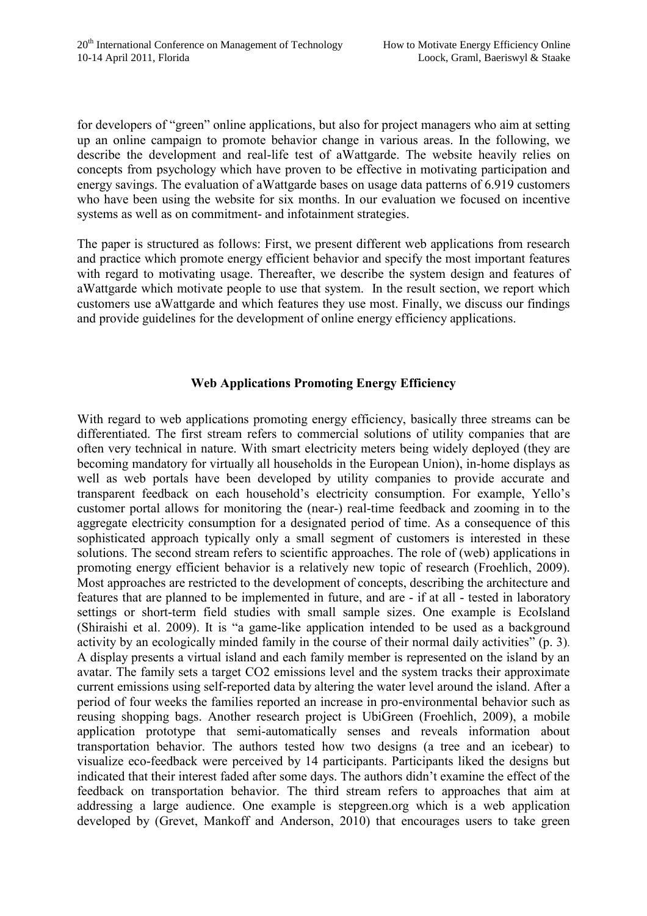for developers of "green" online applications, but also for project managers who aim at setting up an online campaign to promote behavior change in various areas. In the following, we describe the development and real-life test of aWattgarde. The website heavily relies on concepts from psychology which have proven to be effective in motivating participation and energy savings. The evaluation of aWattgarde bases on usage data patterns of 6.919 customers who have been using the website for six months. In our evaluation we focused on incentive systems as well as on commitment- and infotainment strategies.

The paper is structured as follows: First, we present different web applications from research and practice which promote energy efficient behavior and specify the most important features with regard to motivating usage. Thereafter, we describe the system design and features of aWattgarde which motivate people to use that system. In the result section, we report which customers use aWattgarde and which features they use most. Finally, we discuss our findings and provide guidelines for the development of online energy efficiency applications.

# **Web Applications Promoting Energy Efficiency**

With regard to web applications promoting energy efficiency, basically three streams can be differentiated. The first stream refers to commercial solutions of utility companies that are often very technical in nature. With smart electricity meters being widely deployed (they are becoming mandatory for virtually all households in the European Union), in-home displays as well as web portals have been developed by utility companies to provide accurate and transparent feedback on each household's electricity consumption. For example, Yello's customer portal allows for monitoring the (near-) real-time feedback and zooming in to the aggregate electricity consumption for a designated period of time. As a consequence of this sophisticated approach typically only a small segment of customers is interested in these solutions. The second stream refers to scientific approaches. The role of (web) applications in promoting energy efficient behavior is a relatively new topic of research (Froehlich, 2009). Most approaches are restricted to the development of concepts, describing the architecture and features that are planned to be implemented in future, and are - if at all - tested in laboratory settings or short-term field studies with small sample sizes. One example is EcoIsland (Shiraishi et al. 2009). It is "a game-like application intended to be used as a background activity by an ecologically minded family in the course of their normal daily activities" (p. 3). A display presents a virtual island and each family member is represented on the island by an avatar. The family sets a target CO2 emissions level and the system tracks their approximate current emissions using self-reported data by altering the water level around the island. After a period of four weeks the families reported an increase in pro-environmental behavior such as reusing shopping bags. Another research project is UbiGreen (Froehlich, 2009), a mobile application prototype that semi-automatically senses and reveals information about transportation behavior. The authors tested how two designs (a tree and an icebear) to visualize eco-feedback were perceived by 14 participants. Participants liked the designs but indicated that their interest faded after some days. The authors didn't examine the effect of the feedback on transportation behavior. The third stream refers to approaches that aim at addressing a large audience. One example is stepgreen.org which is a web application developed by (Grevet, Mankoff and Anderson, 2010) that encourages users to take green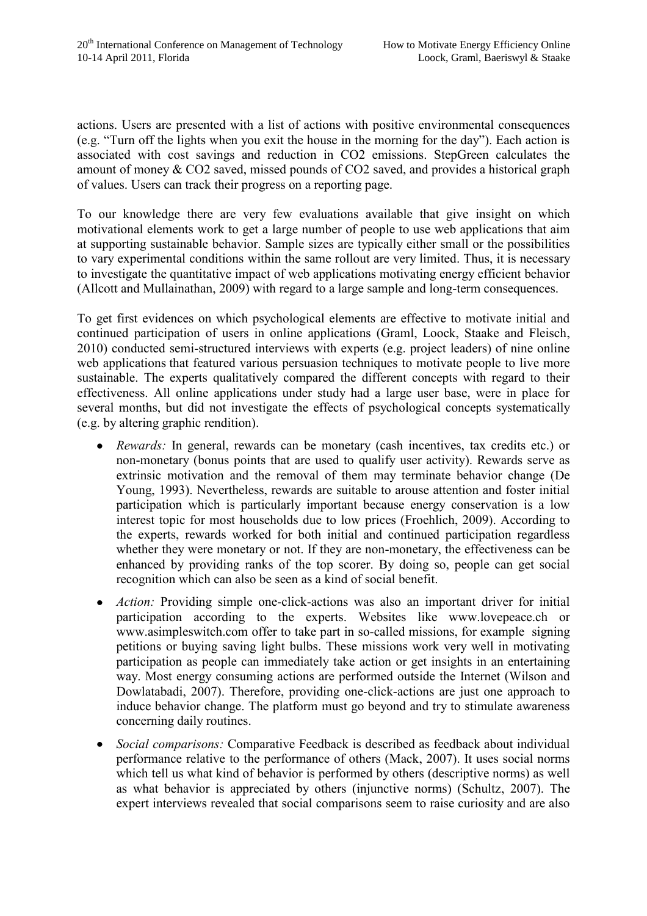actions. Users are presented with a list of actions with positive environmental consequences (e.g. "Turn off the lights when you exit the house in the morning for the day"). Each action is associated with cost savings and reduction in CO2 emissions. StepGreen calculates the amount of money & CO2 saved, missed pounds of CO2 saved, and provides a historical graph of values. Users can track their progress on a reporting page.

To our knowledge there are very few evaluations available that give insight on which motivational elements work to get a large number of people to use web applications that aim at supporting sustainable behavior. Sample sizes are typically either small or the possibilities to vary experimental conditions within the same rollout are very limited. Thus, it is necessary to investigate the quantitative impact of web applications motivating energy efficient behavior (Allcott and Mullainathan, 2009) with regard to a large sample and long-term consequences.

To get first evidences on which psychological elements are effective to motivate initial and continued participation of users in online applications (Graml, Loock, Staake and Fleisch, 2010) conducted semi-structured interviews with experts (e.g. project leaders) of nine online web applications that featured various persuasion techniques to motivate people to live more sustainable. The experts qualitatively compared the different concepts with regard to their effectiveness. All online applications under study had a large user base, were in place for several months, but did not investigate the effects of psychological concepts systematically (e.g. by altering graphic rendition).

- *Rewards:* In general, rewards can be monetary (cash incentives, tax credits etc.) or non-monetary (bonus points that are used to qualify user activity). Rewards serve as extrinsic motivation and the removal of them may terminate behavior change (De Young, 1993). Nevertheless, rewards are suitable to arouse attention and foster initial participation which is particularly important because energy conservation is a low interest topic for most households due to low prices (Froehlich, 2009). According to the experts, rewards worked for both initial and continued participation regardless whether they were monetary or not. If they are non-monetary, the effectiveness can be enhanced by providing ranks of the top scorer. By doing so, people can get social recognition which can also be seen as a kind of social benefit.
- *Action:* Providing simple one-click-actions was also an important driver for initial  $\bullet$ participation according to the experts. Websites like www.lovepeace.ch or www.asimpleswitch.com offer to take part in so-called missions, for example signing petitions or buying saving light bulbs. These missions work very well in motivating participation as people can immediately take action or get insights in an entertaining way. Most energy consuming actions are performed outside the Internet (Wilson and Dowlatabadi, 2007). Therefore, providing one-click-actions are just one approach to induce behavior change. The platform must go beyond and try to stimulate awareness concerning daily routines.
- *Social comparisons:* Comparative Feedback is described as feedback about individual  $\bullet$ performance relative to the performance of others (Mack, 2007). It uses social norms which tell us what kind of behavior is performed by others (descriptive norms) as well as what behavior is appreciated by others (injunctive norms) (Schultz, 2007). The expert interviews revealed that social comparisons seem to raise curiosity and are also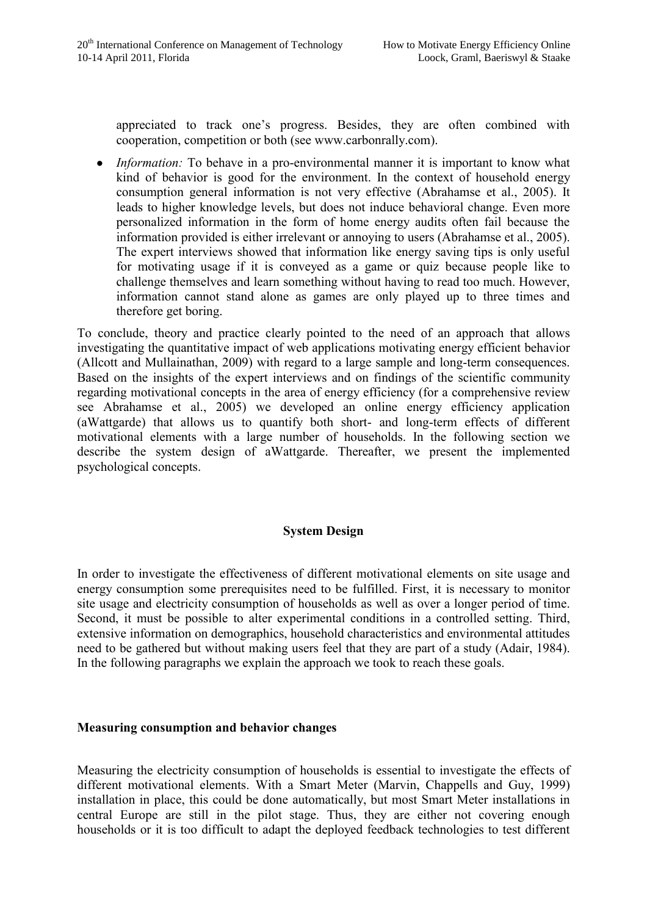appreciated to track one's progress. Besides, they are often combined with cooperation, competition or both (see www.carbonrally.com).

*Information:* To behave in a pro-environmental manner it is important to know what kind of behavior is good for the environment. In the context of household energy consumption general information is not very effective (Abrahamse et al., 2005). It leads to higher knowledge levels, but does not induce behavioral change. Even more personalized information in the form of home energy audits often fail because the information provided is either irrelevant or annoying to users (Abrahamse et al., 2005). The expert interviews showed that information like energy saving tips is only useful for motivating usage if it is conveyed as a game or quiz because people like to challenge themselves and learn something without having to read too much. However, information cannot stand alone as games are only played up to three times and therefore get boring.

To conclude, theory and practice clearly pointed to the need of an approach that allows investigating the quantitative impact of web applications motivating energy efficient behavior (Allcott and Mullainathan, 2009) with regard to a large sample and long-term consequences. Based on the insights of the expert interviews and on findings of the scientific community regarding motivational concepts in the area of energy efficiency (for a comprehensive review see Abrahamse et al., 2005) we developed an online energy efficiency application (aWattgarde) that allows us to quantify both short- and long-term effects of different motivational elements with a large number of households. In the following section we describe the system design of aWattgarde. Thereafter, we present the implemented psychological concepts.

# **System Design**

In order to investigate the effectiveness of different motivational elements on site usage and energy consumption some prerequisites need to be fulfilled. First, it is necessary to monitor site usage and electricity consumption of households as well as over a longer period of time. Second, it must be possible to alter experimental conditions in a controlled setting. Third, extensive information on demographics, household characteristics and environmental attitudes need to be gathered but without making users feel that they are part of a study (Adair, 1984). In the following paragraphs we explain the approach we took to reach these goals.

### **Measuring consumption and behavior changes**

Measuring the electricity consumption of households is essential to investigate the effects of different motivational elements. With a Smart Meter (Marvin, Chappells and Guy, 1999) installation in place, this could be done automatically, but most Smart Meter installations in central Europe are still in the pilot stage. Thus, they are either not covering enough households or it is too difficult to adapt the deployed feedback technologies to test different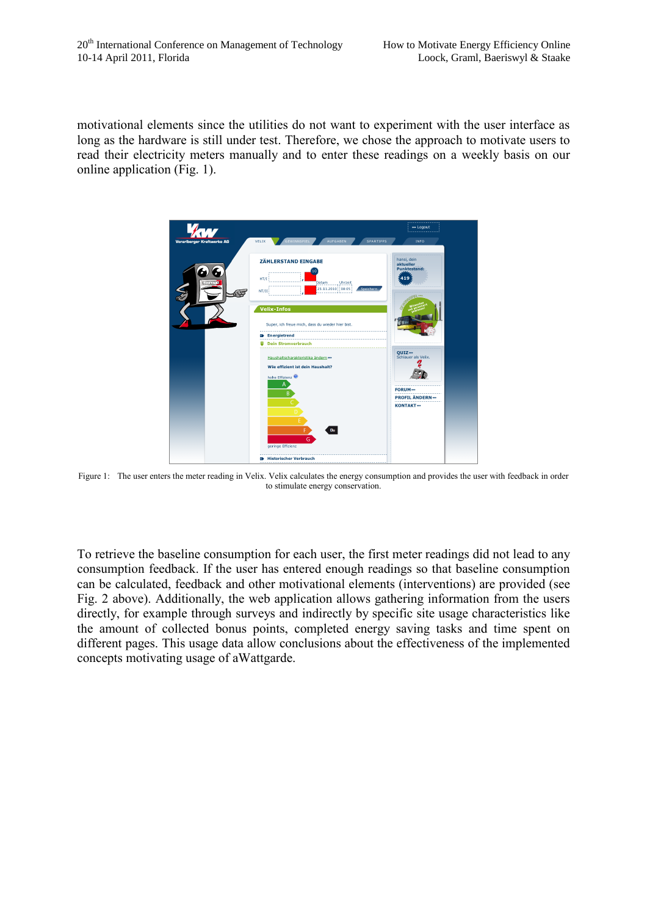motivational elements since the utilities do not want to experiment with the user interface as long as the hardware is still under test. Therefore, we chose the approach to motivate users to read their electricity meters manually and to enter these readings on a weekly basis on our online application (Fig. 1).



Figure 1: The user enters the meter reading in Velix. Velix calculates the energy consumption and provides the user with feedback in order to stimulate energy conservation.

To retrieve the baseline consumption for each user, the first meter readings did not lead to any consumption feedback. If the user has entered enough readings so that baseline consumption can be calculated, feedback and other motivational elements (interventions) are provided (see Fig. 2 above). Additionally, the web application allows gathering information from the users directly, for example through surveys and indirectly by specific site usage characteristics like the amount of collected bonus points, completed energy saving tasks and time spent on different pages. This usage data allow conclusions about the effectiveness of the implemented concepts motivating usage of aWattgarde.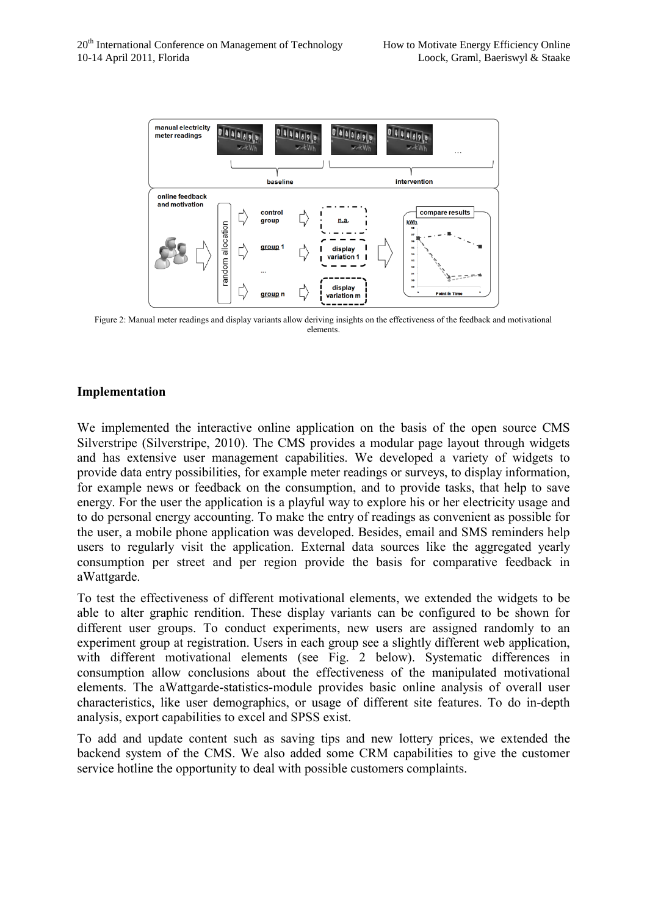

Figure 2: Manual meter readings and display variants allow deriving insights on the effectiveness of the feedback and motivational elements.

# **Implementation**

We implemented the interactive online application on the basis of the open source CMS Silverstripe (Silverstripe, 2010). The CMS provides a modular page layout through widgets and has extensive user management capabilities. We developed a variety of widgets to provide data entry possibilities, for example meter readings or surveys, to display information, for example news or feedback on the consumption, and to provide tasks, that help to save energy. For the user the application is a playful way to explore his or her electricity usage and to do personal energy accounting. To make the entry of readings as convenient as possible for the user, a mobile phone application was developed. Besides, email and SMS reminders help users to regularly visit the application. External data sources like the aggregated yearly consumption per street and per region provide the basis for comparative feedback in aWattgarde.

To test the effectiveness of different motivational elements, we extended the widgets to be able to alter graphic rendition. These display variants can be configured to be shown for different user groups. To conduct experiments, new users are assigned randomly to an experiment group at registration. Users in each group see a slightly different web application, with different motivational elements (see Fig. 2 below). Systematic differences in consumption allow conclusions about the effectiveness of the manipulated motivational elements. The aWattgarde-statistics-module provides basic online analysis of overall user characteristics, like user demographics, or usage of different site features. To do in-depth analysis, export capabilities to excel and SPSS exist.

To add and update content such as saving tips and new lottery prices, we extended the backend system of the CMS. We also added some CRM capabilities to give the customer service hotline the opportunity to deal with possible customers complaints.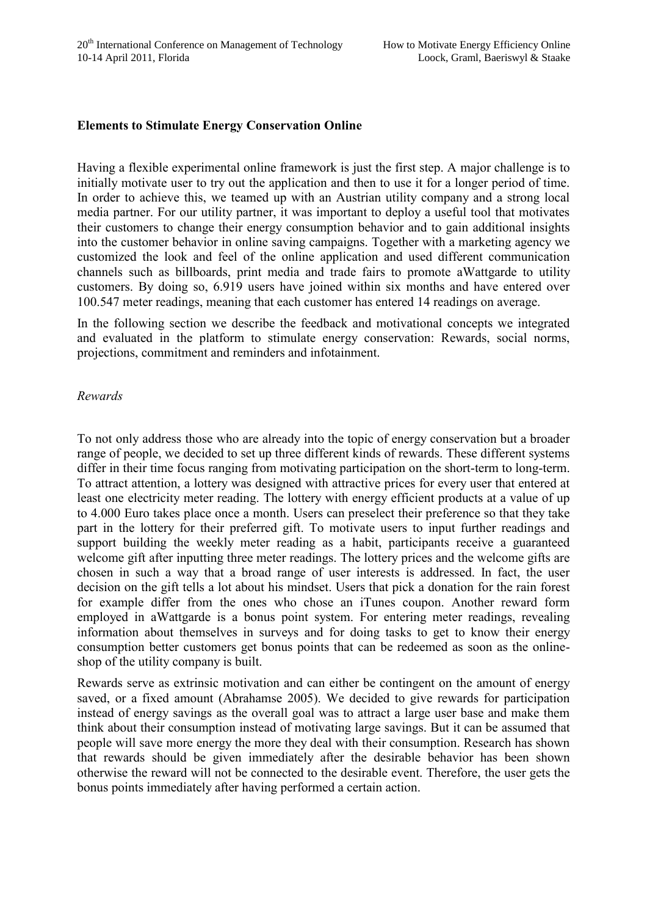# **Elements to Stimulate Energy Conservation Online**

Having a flexible experimental online framework is just the first step. A major challenge is to initially motivate user to try out the application and then to use it for a longer period of time. In order to achieve this, we teamed up with an Austrian utility company and a strong local media partner. For our utility partner, it was important to deploy a useful tool that motivates their customers to change their energy consumption behavior and to gain additional insights into the customer behavior in online saving campaigns. Together with a marketing agency we customized the look and feel of the online application and used different communication channels such as billboards, print media and trade fairs to promote aWattgarde to utility customers. By doing so, 6.919 users have joined within six months and have entered over 100.547 meter readings, meaning that each customer has entered 14 readings on average.

In the following section we describe the feedback and motivational concepts we integrated and evaluated in the platform to stimulate energy conservation: Rewards, social norms, projections, commitment and reminders and infotainment.

### *Rewards*

To not only address those who are already into the topic of energy conservation but a broader range of people, we decided to set up three different kinds of rewards. These different systems differ in their time focus ranging from motivating participation on the short-term to long-term. To attract attention, a lottery was designed with attractive prices for every user that entered at least one electricity meter reading. The lottery with energy efficient products at a value of up to 4.000 Euro takes place once a month. Users can preselect their preference so that they take part in the lottery for their preferred gift. To motivate users to input further readings and support building the weekly meter reading as a habit, participants receive a guaranteed welcome gift after inputting three meter readings. The lottery prices and the welcome gifts are chosen in such a way that a broad range of user interests is addressed. In fact, the user decision on the gift tells a lot about his mindset. Users that pick a donation for the rain forest for example differ from the ones who chose an iTunes coupon. Another reward form employed in aWattgarde is a bonus point system. For entering meter readings, revealing information about themselves in surveys and for doing tasks to get to know their energy consumption better customers get bonus points that can be redeemed as soon as the onlineshop of the utility company is built.

Rewards serve as extrinsic motivation and can either be contingent on the amount of energy saved, or a fixed amount (Abrahamse 2005). We decided to give rewards for participation instead of energy savings as the overall goal was to attract a large user base and make them think about their consumption instead of motivating large savings. But it can be assumed that people will save more energy the more they deal with their consumption. Research has shown that rewards should be given immediately after the desirable behavior has been shown otherwise the reward will not be connected to the desirable event. Therefore, the user gets the bonus points immediately after having performed a certain action.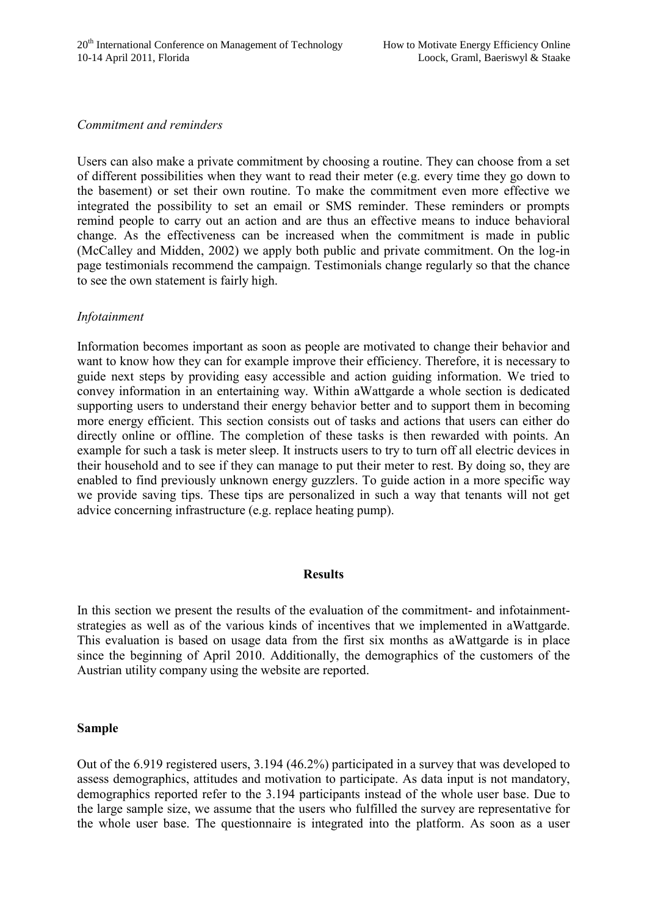### *Commitment and reminders*

Users can also make a private commitment by choosing a routine. They can choose from a set of different possibilities when they want to read their meter (e.g. every time they go down to the basement) or set their own routine. To make the commitment even more effective we integrated the possibility to set an email or SMS reminder. These reminders or prompts remind people to carry out an action and are thus an effective means to induce behavioral change. As the effectiveness can be increased when the commitment is made in public (McCalley and Midden, 2002) we apply both public and private commitment. On the log-in page testimonials recommend the campaign. Testimonials change regularly so that the chance to see the own statement is fairly high.

## *Infotainment*

Information becomes important as soon as people are motivated to change their behavior and want to know how they can for example improve their efficiency. Therefore, it is necessary to guide next steps by providing easy accessible and action guiding information. We tried to convey information in an entertaining way. Within aWattgarde a whole section is dedicated supporting users to understand their energy behavior better and to support them in becoming more energy efficient. This section consists out of tasks and actions that users can either do directly online or offline. The completion of these tasks is then rewarded with points. An example for such a task is meter sleep. It instructs users to try to turn off all electric devices in their household and to see if they can manage to put their meter to rest. By doing so, they are enabled to find previously unknown energy guzzlers. To guide action in a more specific way we provide saving tips. These tips are personalized in such a way that tenants will not get advice concerning infrastructure (e.g. replace heating pump).

### **Results**

In this section we present the results of the evaluation of the commitment- and infotainmentstrategies as well as of the various kinds of incentives that we implemented in aWattgarde. This evaluation is based on usage data from the first six months as aWattgarde is in place since the beginning of April 2010. Additionally, the demographics of the customers of the Austrian utility company using the website are reported.

### **Sample**

Out of the 6.919 registered users, 3.194 (46.2%) participated in a survey that was developed to assess demographics, attitudes and motivation to participate. As data input is not mandatory, demographics reported refer to the 3.194 participants instead of the whole user base. Due to the large sample size, we assume that the users who fulfilled the survey are representative for the whole user base. The questionnaire is integrated into the platform. As soon as a user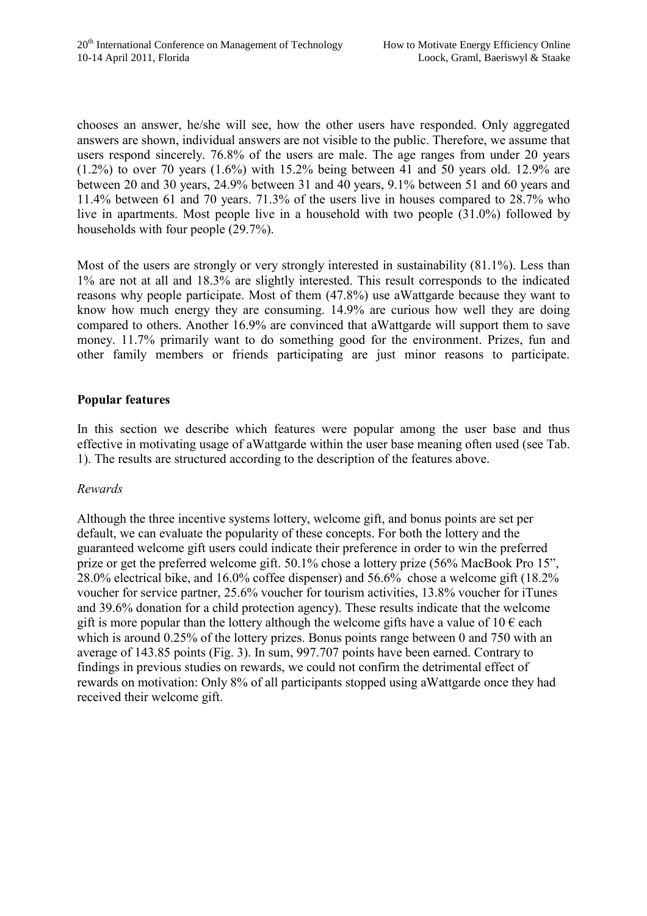chooses an answer, he/she will see, how the other users have responded. Only aggregated answers are shown, individual answers are not visible to the public. Therefore, we assume that users respond sincerely. 76.8% of the users are male. The age ranges from under 20 years  $(1.2\%)$  to over 70 years  $(1.6\%)$  with 15.2% being between 41 and 50 years old. 12.9% are between 20 and 30 years, 24.9% between 31 and 40 years, 9.1% between 51 and 60 years and 11.4% between 61 and 70 years. 71.3% of the users live in houses compared to 28.7% who live in apartments. Most people live in a household with two people (31.0%) followed by households with four people (29.7%).

Most of the users are strongly or very strongly interested in sustainability (81.1%). Less than 1% are not at all and 18.3% are slightly interested. This result corresponds to the indicated reasons why people participate. Most of them (47.8%) use aWattgarde because they want to know how much energy they are consuming. 14.9% are curious how well they are doing compared to others. Another 16.9% are convinced that aWattgarde will support them to save money. 11.7% primarily want to do something good for the environment. Prizes, fun and other family members or friends participating are just minor reasons to participate.

# **Popular features**

In this section we describe which features were popular among the user base and thus effective in motivating usage of aWattgarde within the user base meaning often used (see Tab. 1). The results are structured according to the description of the features above.

## *Rewards*

Although the three incentive systems lottery, welcome gift, and bonus points are set per default, we can evaluate the popularity of these concepts. For both the lottery and the guaranteed welcome gift users could indicate their preference in order to win the preferred prize or get the preferred welcome gift. 50.1% chose a lottery prize (56% MacBook Pro 15", 28.0% electrical bike, and 16.0% coffee dispenser) and 56.6% chose a welcome gift (18.2% voucher for service partner, 25.6% voucher for tourism activities, 13.8% voucher for iTunes and 39.6% donation for a child protection agency). These results indicate that the welcome gift is more popular than the lottery although the welcome gifts have a value of  $10 \in$  each which is around 0.25% of the lottery prizes. Bonus points range between 0 and 750 with an average of 143.85 points (Fig. 3). In sum, 997.707 points have been earned. Contrary to findings in previous studies on rewards, we could not confirm the detrimental effect of rewards on motivation: Only 8% of all participants stopped using aWattgarde once they had received their welcome gift.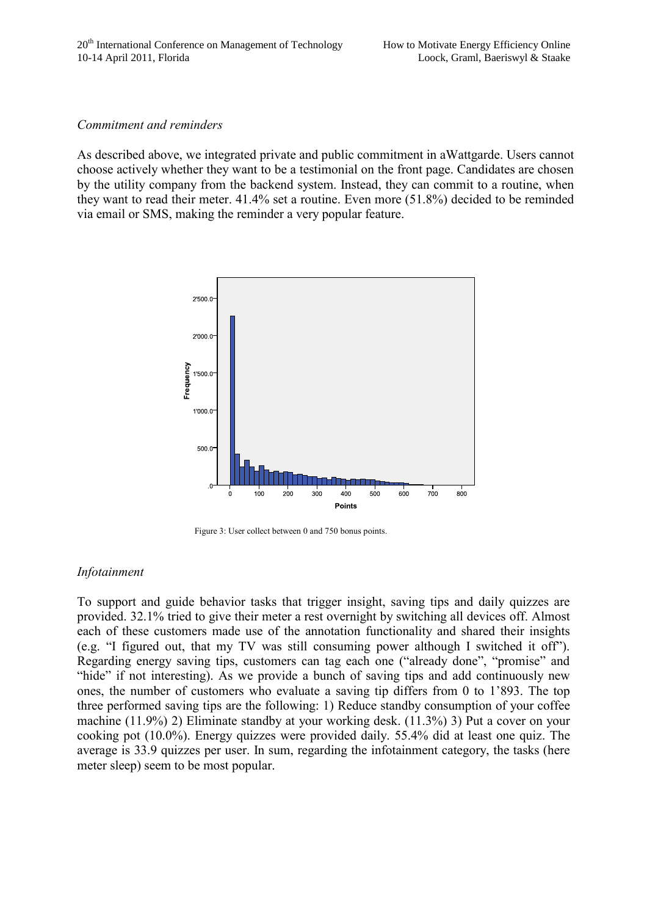### *Commitment and reminders*

As described above, we integrated private and public commitment in aWattgarde. Users cannot choose actively whether they want to be a testimonial on the front page. Candidates are chosen by the utility company from the backend system. Instead, they can commit to a routine, when they want to read their meter. 41.4% set a routine. Even more (51.8%) decided to be reminded via email or SMS, making the reminder a very popular feature.



Figure 3: User collect between 0 and 750 bonus points.

## *Infotainment*

To support and guide behavior tasks that trigger insight, saving tips and daily quizzes are provided. 32.1% tried to give their meter a rest overnight by switching all devices off. Almost each of these customers made use of the annotation functionality and shared their insights (e.g. "I figured out, that my TV was still consuming power although I switched it off"). Regarding energy saving tips, customers can tag each one ("already done", "promise" and "hide" if not interesting). As we provide a bunch of saving tips and add continuously new ones, the number of customers who evaluate a saving tip differs from 0 to 1'893. The top three performed saving tips are the following: 1) Reduce standby consumption of your coffee machine (11.9%) 2) Eliminate standby at your working desk. (11.3%) 3) Put a cover on your cooking pot (10.0%). Energy quizzes were provided daily. 55.4% did at least one quiz. The average is 33.9 quizzes per user. In sum, regarding the infotainment category, the tasks (here meter sleep) seem to be most popular.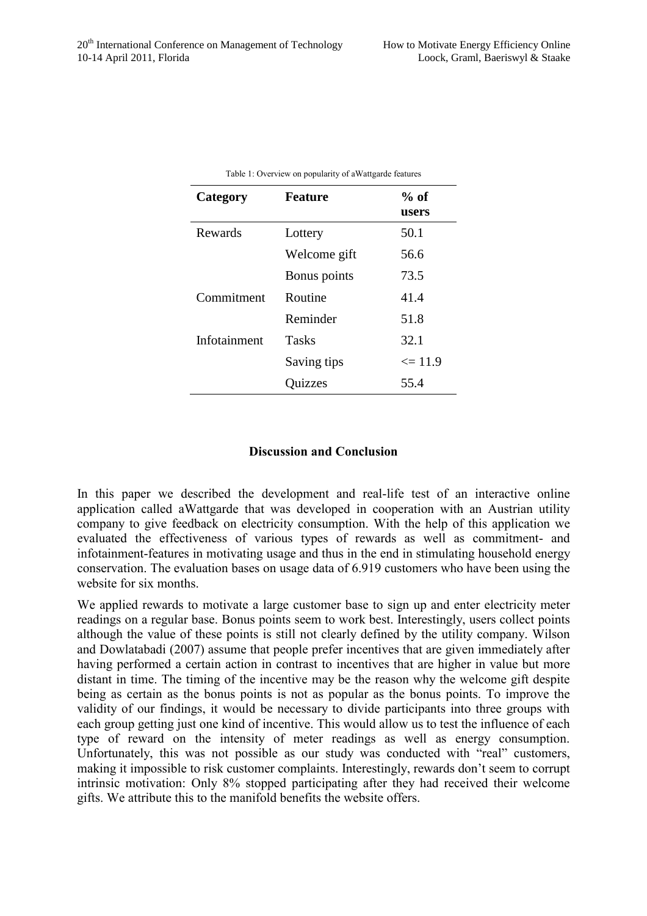| Category     | Feature      | $%$ of<br>users |
|--------------|--------------|-----------------|
| Rewards      | Lottery      | 50.1            |
|              | Welcome gift | 56.6            |
|              | Bonus points | 73.5            |
| Commitment   | Routine      | 41.4            |
|              | Reminder     | 51.8            |
| Infotainment | <b>Tasks</b> | 32.1            |
|              | Saving tips  | $\leq 11.9$     |
|              | Quizzes      | 55.4            |

|  |  | Table 1: Overview on popularity of a Wattgarde features |
|--|--|---------------------------------------------------------|
|--|--|---------------------------------------------------------|

# **Discussion and Conclusion**

In this paper we described the development and real-life test of an interactive online application called aWattgarde that was developed in cooperation with an Austrian utility company to give feedback on electricity consumption. With the help of this application we evaluated the effectiveness of various types of rewards as well as commitment- and infotainment-features in motivating usage and thus in the end in stimulating household energy conservation. The evaluation bases on usage data of 6.919 customers who have been using the website for six months.

We applied rewards to motivate a large customer base to sign up and enter electricity meter readings on a regular base. Bonus points seem to work best. Interestingly, users collect points although the value of these points is still not clearly defined by the utility company. Wilson and Dowlatabadi (2007) assume that people prefer incentives that are given immediately after having performed a certain action in contrast to incentives that are higher in value but more distant in time. The timing of the incentive may be the reason why the welcome gift despite being as certain as the bonus points is not as popular as the bonus points. To improve the validity of our findings, it would be necessary to divide participants into three groups with each group getting just one kind of incentive. This would allow us to test the influence of each type of reward on the intensity of meter readings as well as energy consumption. Unfortunately, this was not possible as our study was conducted with "real" customers, making it impossible to risk customer complaints. Interestingly, rewards don't seem to corrupt intrinsic motivation: Only 8% stopped participating after they had received their welcome gifts. We attribute this to the manifold benefits the website offers.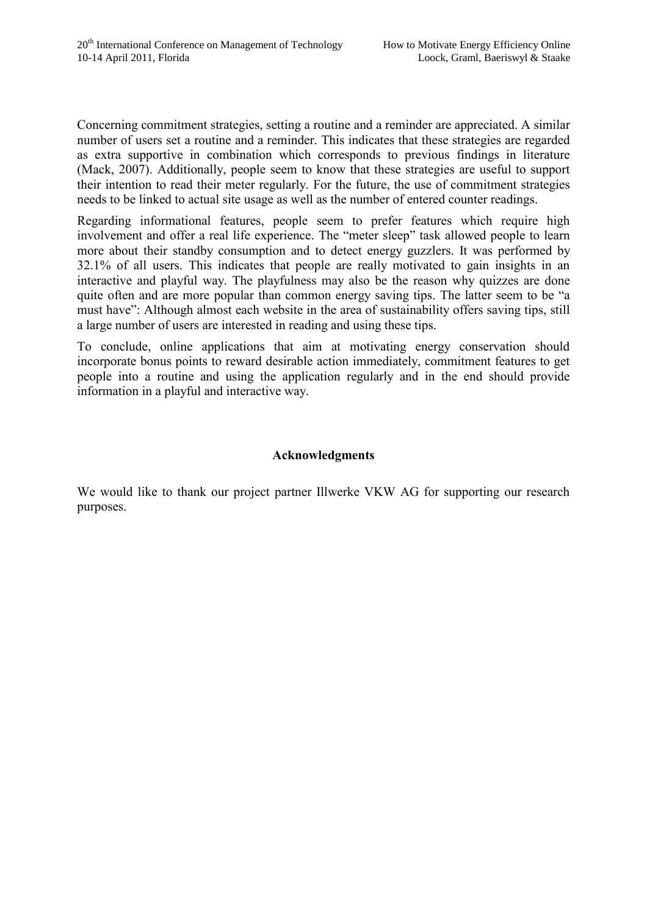Concerning commitment strategies, setting a routine and a reminder are appreciated. A similar number of users set a routine and a reminder. This indicates that these strategies are regarded as extra supportive in combination which corresponds to previous findings in literature (Mack, 2007). Additionally, people seem to know that these strategies are useful to support their intention to read their meter regularly. For the future, the use of commitment strategies needs to be linked to actual site usage as well as the number of entered counter readings.

Regarding informational features, people seem to prefer features which require high involvement and offer a real life experience. The "meter sleep" task allowed people to learn more about their standby consumption and to detect energy guzzlers. It was performed by 32.1% of all users. This indicates that people are really motivated to gain insights in an interactive and playful way. The playfulness may also be the reason why quizzes are done quite often and are more popular than common energy saving tips. The latter seem to be "a must have": Although almost each website in the area of sustainability offers saving tips, still a large number of users are interested in reading and using these tips.

To conclude, online applications that aim at motivating energy conservation should incorporate bonus points to reward desirable action immediately, commitment features to get people into a routine and using the application regularly and in the end should provide information in a playful and interactive way.

# **Acknowledgments**

We would like to thank our project partner Illwerke VKW AG for supporting our research purposes.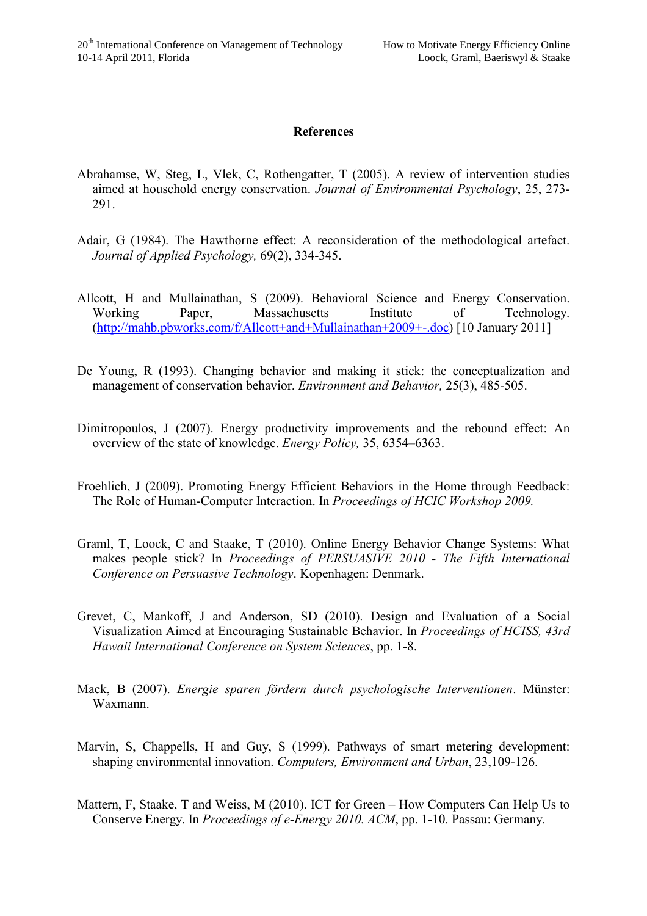## **References**

- Abrahamse, W, Steg, L, Vlek, C, Rothengatter, T (2005). A review of intervention studies aimed at household energy conservation. *Journal of Environmental Psychology*, 25, 273- 291.
- Adair, G (1984). The Hawthorne effect: A reconsideration of the methodological artefact. *Journal of Applied Psychology,* 69(2), 334-345.
- Allcott, H and Mullainathan, S (2009). Behavioral Science and Energy Conservation. Working Paper, Massachusetts Institute of Technology. [\(http://mahb.pbworks.com/f/Allcott+and+Mullainathan+2009+-.doc\)](http://mahb.pbworks.com/f/Allcott+and+Mullainathan+2009+-.doc) [10 January 2011]
- De Young, R (1993). Changing behavior and making it stick: the conceptualization and management of conservation behavior. *Environment and Behavior,* 25(3), 485-505.
- Dimitropoulos, J (2007). Energy productivity improvements and the rebound effect: An overview of the state of knowledge. *Energy Policy,* 35, 6354–6363.
- Froehlich, J (2009). Promoting Energy Efficient Behaviors in the Home through Feedback: The Role of Human-Computer Interaction. In *Proceedings of HCIC Workshop 2009.*
- Graml, T, Loock, C and Staake, T (2010). Online Energy Behavior Change Systems: What makes people stick? In *Proceedings of PERSUASIVE 2010 - The Fifth International Conference on Persuasive Technology*. Kopenhagen: Denmark.
- Grevet, C, Mankoff, J and Anderson, SD (2010). Design and Evaluation of a Social Visualization Aimed at Encouraging Sustainable Behavior. In *Proceedings of HCISS, 43rd Hawaii International Conference on System Sciences*, pp. 1-8.
- Mack, B (2007). *Energie sparen fördern durch psychologische Interventionen*. Münster: Waxmann.
- Marvin, S, Chappells, H and Guy, S (1999). Pathways of smart metering development: shaping environmental innovation. *Computers, Environment and Urban*, 23,109-126.
- Mattern, F, Staake, T and Weiss, M (2010). ICT for Green How Computers Can Help Us to Conserve Energy. In *Proceedings of e-Energy 2010. ACM*, pp. 1-10. Passau: Germany.